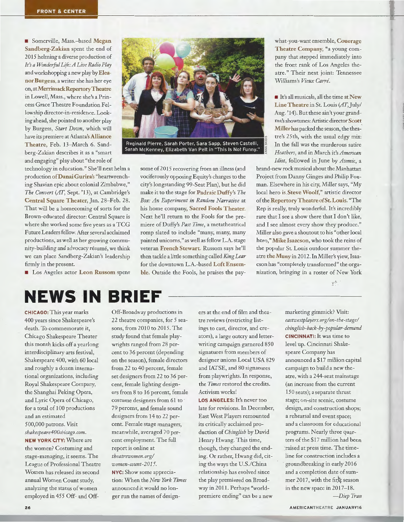**• Somerville, Mass.-based Megan** Sandberg-Zakian spent the end of 2015 helming a diverse production of *It's a Wonderful Life: A Live Radio Play*  and workshopping a new play by Eleanor Burgess, a writer she has her eye on, atMerrimackRepertoryTheatre in Lowell, Mass., where she's a Princess Grace Theatre Foundation Fellowship director-in-residence. Looking ahead, she pointed to another play by Burgess, *Start Down,* which will have its premiere at Atlanta's Alliance Theatre, Feb. 13-March 6. Sandberg-Zakian describes it as a "smart and engaging" play about "the role of

technology in education." She'll next helm a production ofDanai Gurira's "heartwrenching Shavian epic about colonial Zimbabwe," *The Convert (AT,* Sept. '13), at Cambridge's Central Square Theater, Jan. 28-Feb. 28. That will be a homecoming of sorts for the Brown-educated director: Central Square is where she worked some five years as a TCG Future Leaders fellow. After several acclaimed productions, as well as her growing community-building and advocacy résumé, we think we can place Sandberg-Zakian's leadership firmly in the present.

**• Los Angeles actor Leon Russom spent** 

## **NEWS IN BRIEF**

CHICAGO: This year marks 400 years since Shakespeare's death. To commemorate it, Chicago Shakespeare Theater this month kicks off a yearlong interdisciplinary arts festival, Shakespeare 400, with 60 local and roughly a dozen international organizations, including Royal Shakespeare Company, the Shanghai Peking Opera, and Lyric Opera of Chicago, for a total of 100 productions and an estimated 500,000 patrons. Visit *shakespeare400chicago.com.*  NEW YORK CITY: Where are the women? Costuming and stage-managing, it seems. The League of Professional Theatre Women has released its second annual Women Count study, analyzing the status of women employed in 455 Off- and OffOff-Broadway productions in 22 theatre companies, for 5 seasons, from 2010 to 2015. The study found that female playwrights ranged from 28 percent to 36 percent (depending on the season), female directors from 22 to 40 percent, female set designers from 22 to 36 percent, female lighting designers from 8 to 16 percent, female costume designers from 61 to 79 percent, and female sound designers from 14 to 22 percent. Female stage managers, meanwhile, averaged 70 percent employment. The full report is online at *theatrewomen. orgl women-count-201 S.*  NYC: Show some appreciation: When the *New York Times*  announced it would no lon-

ger run the names of design-

ers at the end of film and theatre reviews (restricting listings to cast, director, and creators), a large outcry and letterwriting campaign garnered 850 signatures from members of designer unions Local USA 829 and IATSE, and 80 signatures from playwrights. In response, the *Times* restored the credits. Activism works'

LOS ANGELES: It's never too late for revisions. In December, East West Players remounted its critically acclaimed production of *Chinglish* by David Henry Hwang. This time, though, they changed the ending. Or rather, Hwang did, citing the ways the U.S./China relationship has evolved since the play premiered on Broadway in 2011. Perhaps "worldpremiere ending" can be a new

what-you-want ensemble, Couerage Theatre Company, "a young company that stepped immediately into the front rank of Los Angeles theatre." Their next joint: Tennessee Williams's *Vieux Carre.* 

**If** It's all musicals, all the time at New Line Theatre in St. Louis *(AT,* July/ Aug. '14). But these ain't your grandma's showtunes: Artistic director Scott Miller has packed the season, the theatre's 25th, with the usual edgy mix: In the fall was the murderous satire *Heathers,* and in March it's *American Idiot,* followed in June by *Atomic,* a

brand-new rock musical about the Manhattan Project from Danny Ginges and Philip Foxman. Elsewhere in his city, Miller says, "My local hero is Steve Woolf," artistic director of the Repertory Theatre of St. Louis. "The Rep is really, truly wonderful. It's incredibly rare that I see a show there that I don't like, and I see almost every show they produce." Miller also gave a shoutout to his "other local hero," Mike Isaacson, who took the reins of the popular St. Louis outdoor summer theatre theMuny in 2012. lnMiller's yiew, Isaacson has "completely transformed" the organization, bringing in a roster of New York

 $r^{j_1}$ 

marketing gimmick? Visit:

*eastwestplayers.orglon-the-stagel chinglish-back-by-popular-demand*  CINCINNATI: It was time to level up. Cincinnati Shakespeare Company has announced a \$17 million capital campaign to build a new theatre, with a 244-seat mainstage (an increase from the current 150 seats); a separate thrust stage; on-site scenic, costume design, and construction shops; a rehearsal and event space; and a classroom for educational programs. Nearly three quarters of the \$17 million had been ·raised at press time. The timeline for construction includes a groundbreaking in early 2016 and a completion date of summer 2017, with the first season in the new space in 2017-18. *-Diep Tran* 

AMERICANTHEATRE JANUARY16



Reginald Pierre, Sarah Porter, Sara Sapp, Steven Castelli, Sarah McKenney, Elizabeth Van Pelt in "This Is Not Funny."

some of 2015 recovering from an illness (and vociferously opposing Equity's changes to the city's longstanding 99-Seat Plan), but he did make it to the stage for Padraic Duffy's *The Box: An Experiment in Random Narrative* at his home company, Sacred Fools Theater. Next he'll return to the Fools for the premiere of Duffy's Past Time, a metatheatrical romp slated to include "many, many, many painted unicorns," as well as fellow L.A. stage veteran French Stewart. Russom says he'll then tackle a little something called *King Lear*  for the downtown L.A.-based Loft Ensemble. Outside the Fools, he praises the pay-